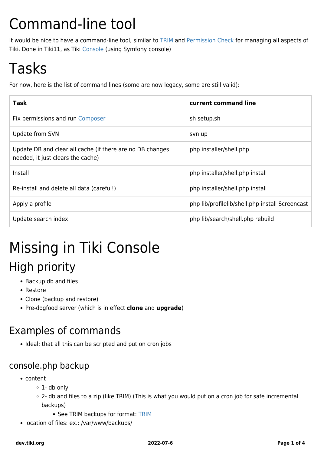# Command-line tool

It would be nice to have a command-line tool, similar to [TRIM](https://dev.tiki.org/TRIM) and [Permission Check](https://dev.tiki.org/Permission-Check) for managing all aspects of Tiki. Done in Tiki11, as Tiki [Console](http://doc.tiki.org/Console) (using Symfony console)

## Tasks

For now, here is the list of command lines (some are now legacy, some are still valid):

| current command line                            |
|-------------------------------------------------|
| sh setup.sh                                     |
| syn up                                          |
| php installer/shell.php                         |
| php installer/shell.php install                 |
| php installer/shell.php install                 |
| php lib/profilelib/shell.php install Screencast |
| php lib/search/shell.php rebuild                |
|                                                 |

### Missing in Tiki Console High priority

- Backup db and files
- Restore
- Clone (backup and restore)
- Pre-dogfood server (which is in effect **clone** and **upgrade**)

### Examples of commands

• Ideal: that all this can be scripted and put on cron jobs

### console.php backup

- content
	- 1- db only
	- 2- db and files to a zip (like TRIM) (This is what you would put on a cron job for safe incremental backups)
		- See [TRIM](http://doc.tiki.org/TRIM#make_backup) backups for format: TRIM
- location of files: ex.: /var/www/backups/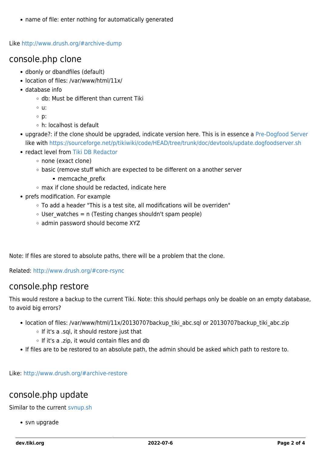name of file: enter nothing for automatically generated

Like<http://www.drush.org/#archive-dump>

#### console.php clone

- dbonly or dbandfiles (default)
- location of files: /var/www/html/11x/
- database info
	- $\circ$  db: Must be different than current Tiki
	- $\circ$  u:
	- $\circ$  p:
	- h: localhost is default
- upgrade?: if the clone should be upgraded, indicate version here. This is in essence a [Pre-Dogfood Server](http://tiki.org/Pre-Dogfood%20Server) like with <https://sourceforge.net/p/tikiwiki/code/HEAD/tree/trunk/doc/devtools/update.dogfoodserver.sh>
- redact level from [Tiki DB Redactor](https://dev.tiki.org/Tiki-DB-Redactor)
	- none (exact clone)
	- basic (remove stuff which are expected to be different on a another server
		- memcache\_prefix
	- max if clone should be redacted, indicate here
- prefs modification. For example
	- To add a header "This is a test site, all modifications will be overriden"
	- $\circ$  User watches = n (Testing changes shouldn't spam people)
	- admin password should become XYZ

Note: If files are stored to absolute paths, there will be a problem that the clone.

Related: <http://www.drush.org/#core-rsync>

#### console.php restore

This would restore a backup to the current Tiki. Note: this should perhaps only be doable on an empty database, to avoid big errors?

- location of files: /var/www/html/11x/20130707backup tiki abc.sql or 20130707backup tiki abc.zip
	- $\circ$  If it's a .sql, it should restore just that
	- $\circ$  If it's a .zip, it would contain files and db
- If files are to be restored to an absolute path, the admin should be asked which path to restore to.

Like: <http://www.drush.org/#archive-restore>

#### console.php update

Similar to the current [svnup.sh](http://sourceforge.net/p/tikiwiki/code/HEAD/tree/trunk/doc/devtools/svnup.sh)

svn upgrade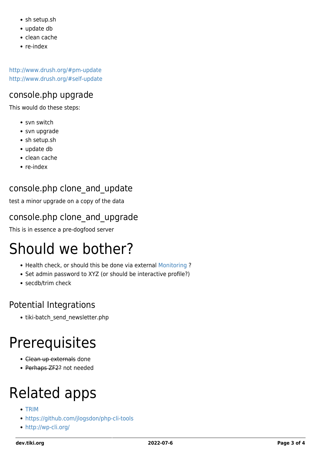- sh setup.sh
- update db
- clean cache
- re-index

<http://www.drush.org/#pm-update> <http://www.drush.org/#self-update>

#### console.php upgrade

This would do these steps:

- svn switch
- svn upgrade
- sh setup.sh
- update db
- clean cache
- re-index

### console.php clone\_and\_update

test a minor upgrade on a copy of the data

#### console.php clone\_and\_upgrade

This is in essence a pre-dogfood server

## Should we bother?

- Health check, or should this be done via external [Monitoring](https://dev.tiki.org/Monitoring) ?
- Set admin password to XYZ (or should be interactive profile?)
- secdb/trim check

#### Potential Integrations

• tiki-batch send newsletter.php

### **Prerequisites**

- Clean up externals done
- Perhaps ZF2? not needed

## Related apps

- [TRIM](https://dev.tiki.org/TRIM)
- <https://github.com/jlogsdon/php-cli-tools>
- <http://wp-cli.org/>